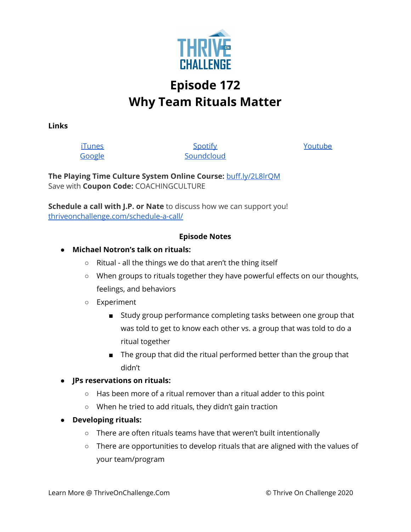

# **Episode 172 Why Team Rituals Matter**

**Links**

**[iTunes](https://podcasts.apple.com/us/podcast/coaching-culture/id1286560192)** [Google](https://podcasts.google.com/feed/aHR0cHM6Ly9mZWVkcy5zb3VuZGNsb3VkLmNvbS91c2Vycy9zb3VuZGNsb3VkOnVzZXJzOjQxMDQyNzcvc291bmRzLnJzcw?ved=2ahUKEwiSpYquy9vqAhVbQUEAHSAkC88Q4aUDegQIARAC)

**[Spotify](https://open.spotify.com/show/336Hs8udk8s0yXuK3BzSOq) [Soundcloud](https://soundcloud.com/thriveonchallenge)**  [Youtu](https://www.youtube.com/channel/UC3vIljCBzwHcPyVIx9kiHvw)[be](https://www.youtube.com/channel/UC3vIljCBzwHcPyVIx9kiHvw)

**The Playing Time Culture System Online Course:** [buff.ly/2L8lrQM](https://gate.sc/?url=http%3A%2F%2Fbuff.ly%2F2L8lrQM&token=32ca9-1-1607437698203) Save with **Coupon Code:** COACHINGCULTURE

**Schedule a call with J.P. or Nate** to discuss how we can support you! [thriveonchallenge.com/schedule-a-call/](http://thriveonchallenge.com/schedule-a-call/)

## **Episode Notes**

## **● Michael Notron's talk on rituals:**

- Ritual all the things we do that aren't the thing itself
- When groups to rituals together they have powerful effects on our thoughts, feelings, and behaviors
- Experiment
	- Study group performance completing tasks between one group that was told to get to know each other vs. a group that was told to do a ritual together
	- The group that did the ritual performed better than the group that didn't

## **● JPs reservations on rituals:**

- Has been more of a ritual remover than a ritual adder to this point
- When he tried to add rituals, they didn't gain traction
- **● Developing rituals:**
	- There are often rituals teams have that weren't built intentionally
	- There are opportunities to develop rituals that are aligned with the values of your team/program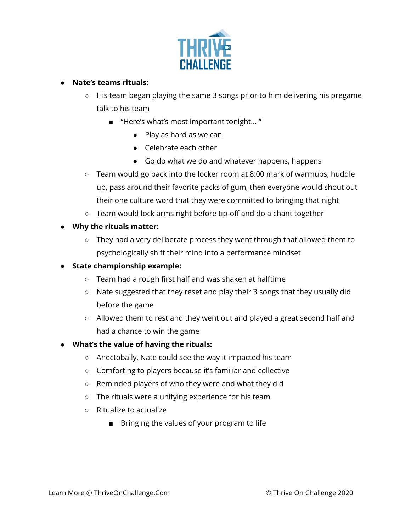

#### **● Nate's teams rituals:**

- His team began playing the same 3 songs prior to him delivering his pregame talk to his team
	- "Here's what's most important tonight... "
		- Play as hard as we can
		- Celebrate each other
		- Go do what we do and whatever happens, happens
- Team would go back into the locker room at 8:00 mark of warmups, huddle up, pass around their favorite packs of gum, then everyone would shout out their one culture word that they were committed to bringing that night
- Team would lock arms right before tip-off and do a chant together
- **● Why the rituals matter:**
	- They had a very deliberate process they went through that allowed them to psychologically shift their mind into a performance mindset
- **● State championship example:**
	- Team had a rough first half and was shaken at halftime
	- Nate suggested that they reset and play their 3 songs that they usually did before the game
	- Allowed them to rest and they went out and played a great second half and had a chance to win the game
- **● What's the value of having the rituals:**
	- Anectobally, Nate could see the way it impacted his team
	- Comforting to players because it's familiar and collective
	- Reminded players of who they were and what they did
	- The rituals were a unifying experience for his team
	- Ritualize to actualize
		- Bringing the values of your program to life